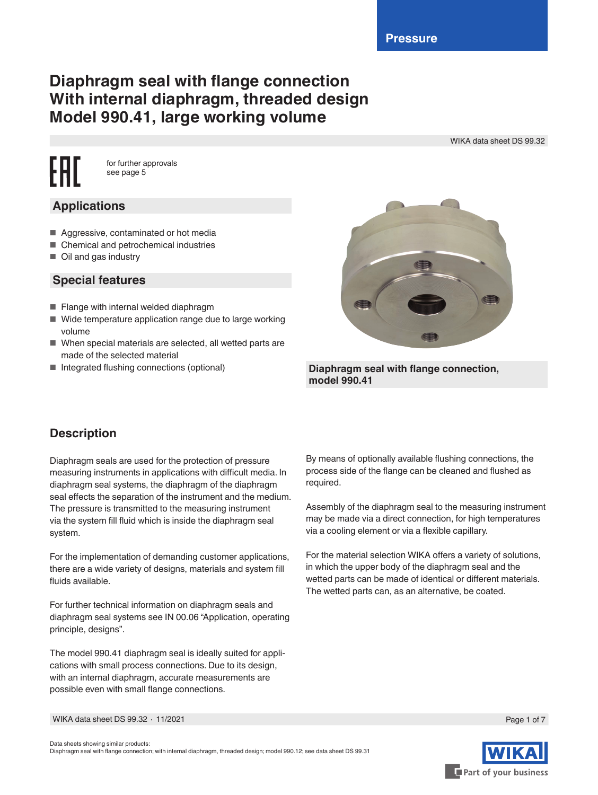# **Diaphragm seal with flange connection With internal diaphragm, threaded design Model 990.41, large working volume**

WIKA data sheet DS 99.32

for further approvals see page 5

# **Applications**

- Aggressive, contaminated or hot media
- Chemical and petrochemical industries
- Oil and gas industry

### **Special features**

- Flange with internal welded diaphragm
- Wide temperature application range due to large working volume
- When special materials are selected, all wetted parts are made of the selected material
- 



■ Integrated flushing connections (optional) **Diaphragm seal with flange connection**, **model 990.41**

# **Description**

Diaphragm seals are used for the protection of pressure measuring instruments in applications with difficult media. In diaphragm seal systems, the diaphragm of the diaphragm seal effects the separation of the instrument and the medium. The pressure is transmitted to the measuring instrument via the system fill fluid which is inside the diaphragm seal system.

For the implementation of demanding customer applications, there are a wide variety of designs, materials and system fill fluids available.

For further technical information on diaphragm seals and diaphragm seal systems see IN 00.06 "Application, operating principle, designs".

The model 990.41 diaphragm seal is ideally suited for applications with small process connections. Due to its design, with an internal diaphragm, accurate measurements are possible even with small flange connections.

By means of optionally available flushing connections, the process side of the flange can be cleaned and flushed as required.

Assembly of the diaphragm seal to the measuring instrument may be made via a direct connection, for high temperatures via a cooling element or via a flexible capillary.

For the material selection WIKA offers a variety of solutions, in which the upper body of the diaphragm seal and the wetted parts can be made of identical or different materials. The wetted parts can, as an alternative, be coated.

WIKA data sheet DS 99.32 ∙ 11/2021



Page 1 of 7

Data sheets showing similar products: Diaphragm seal with flange connection; with internal diaphragm, threaded design; model 990.12; see data sheet DS 99.31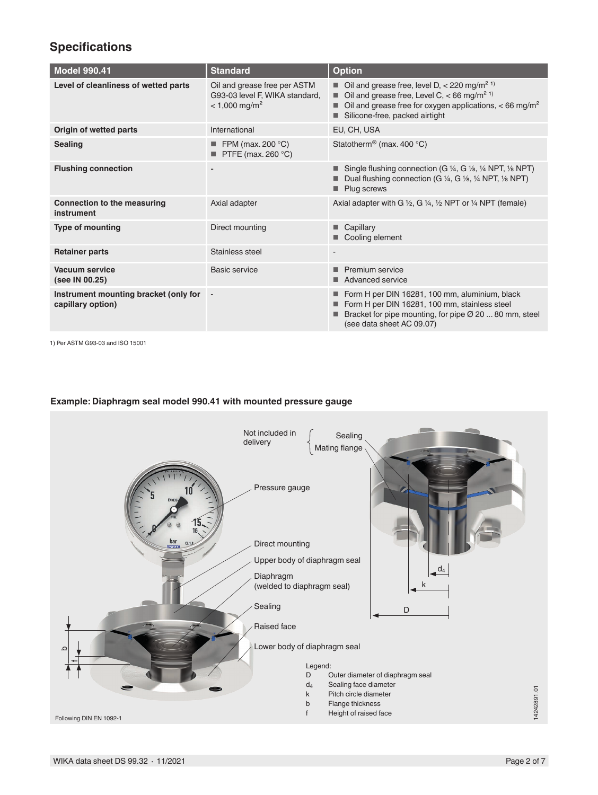# **Specifications**

| <b>Model 990.41</b>                                        | <b>Standard</b>                                                                               | <b>Option</b>                                                                                                                                                                                                                                                   |
|------------------------------------------------------------|-----------------------------------------------------------------------------------------------|-----------------------------------------------------------------------------------------------------------------------------------------------------------------------------------------------------------------------------------------------------------------|
| Level of cleanliness of wetted parts                       | Oil and grease free per ASTM<br>G93-03 level F, WIKA standard,<br>$< 1,000 \,\mathrm{mg/m^2}$ | $\blacksquare$ Oil and grease free, level D, < 220 mg/m <sup>2 1)</sup><br>Oil and grease free, Level C, $<$ 66 mg/m <sup>2</sup> <sup>1)</sup><br>٠<br>Oil and grease free for oxygen applications, $<$ 66 mg/m <sup>2</sup><br>Silicone-free, packed airtight |
| Origin of wetted parts                                     | International                                                                                 | EU, CH, USA                                                                                                                                                                                                                                                     |
| <b>Sealing</b>                                             | FPM (max. 200 $^{\circ}$ C)<br>PTFE (max. 260 °C)                                             | Statotherm <sup>®</sup> (max. 400 °C)                                                                                                                                                                                                                           |
| <b>Flushing connection</b>                                 |                                                                                               | Single flushing connection (G 1/4, G 1/8, 1/4 NPT, 1/8 NPT)<br>Dual flushing connection (G 1/4, G 1/8, 1/4 NPT, 1/8 NPT)<br>Plug screws                                                                                                                         |
| <b>Connection to the measuring</b><br>instrument           | Axial adapter                                                                                 | Axial adapter with G $\frac{1}{2}$ , G $\frac{1}{4}$ , $\frac{1}{2}$ NPT or $\frac{1}{4}$ NPT (female)                                                                                                                                                          |
| <b>Type of mounting</b>                                    | Direct mounting                                                                               | Capillary<br>Cooling element                                                                                                                                                                                                                                    |
| <b>Retainer parts</b>                                      | Stainless steel                                                                               | $\blacksquare$                                                                                                                                                                                                                                                  |
| Vacuum service<br>(see IN 00.25)                           | Basic service                                                                                 | Premium service<br>Advanced service                                                                                                                                                                                                                             |
| Instrument mounting bracket (only for<br>capillary option) | $\overline{\phantom{a}}$                                                                      | Form H per DIN 16281, 100 mm, aluminium, black<br>Form H per DIN 16281, 100 mm, stainless steel<br>Bracket for pipe mounting, for pipe $\varnothing$ 20  80 mm, steel<br>(see data sheet AC 09.07)                                                              |

1) Per ASTM G93-03 and ISO 15001

### **Example: Diaphragm seal model 990.41 with mounted pressure gauge**

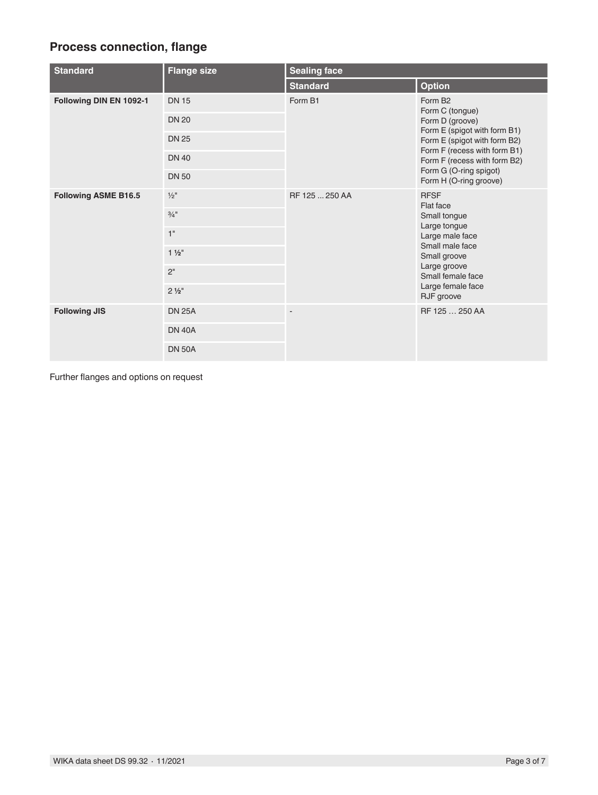# **Process connection, flange**

| <b>Standard</b>             | <b>Flange size</b>           | <b>Sealing face</b> |                                                                                                                                                                                                                                               |  |  |
|-----------------------------|------------------------------|---------------------|-----------------------------------------------------------------------------------------------------------------------------------------------------------------------------------------------------------------------------------------------|--|--|
|                             |                              | <b>Standard</b>     | <b>Option</b>                                                                                                                                                                                                                                 |  |  |
| Following DIN EN 1092-1     | <b>DN 15</b><br><b>DN 20</b> | Form B1             | Form B <sub>2</sub><br>Form C (tongue)<br>Form D (groove)<br>Form E (spigot with form B1)<br>Form E (spigot with form B2)<br>Form F (recess with form B1)<br>Form F (recess with form B2)<br>Form G (O-ring spigot)<br>Form H (O-ring groove) |  |  |
|                             | <b>DN 25</b>                 |                     |                                                                                                                                                                                                                                               |  |  |
|                             | <b>DN 40</b>                 |                     |                                                                                                                                                                                                                                               |  |  |
|                             | <b>DN 50</b>                 |                     |                                                                                                                                                                                                                                               |  |  |
| <b>Following ASME B16.5</b> | $\frac{1}{2}$ "              | RF 125  250 AA      | <b>RFSF</b><br>Flat face                                                                                                                                                                                                                      |  |  |
|                             | $3/4$ <sup>11</sup>          |                     | Small tongue                                                                                                                                                                                                                                  |  |  |
|                             | 1"                           |                     | Large tongue<br>Large male face                                                                                                                                                                                                               |  |  |
|                             | $1\frac{1}{2}$               |                     | Small male face<br>Small groove                                                                                                                                                                                                               |  |  |
|                             | 2 <sup>''</sup>              |                     | Large groove<br>Small female face                                                                                                                                                                                                             |  |  |
|                             | $2\frac{1}{2}$ "             |                     | Large female face<br>RJF groove                                                                                                                                                                                                               |  |  |
| <b>Following JIS</b>        | <b>DN 25A</b>                | ٠                   | RF 125  250 AA                                                                                                                                                                                                                                |  |  |
|                             | <b>DN 40A</b>                |                     |                                                                                                                                                                                                                                               |  |  |
|                             | <b>DN 50A</b>                |                     |                                                                                                                                                                                                                                               |  |  |

Further flanges and options on request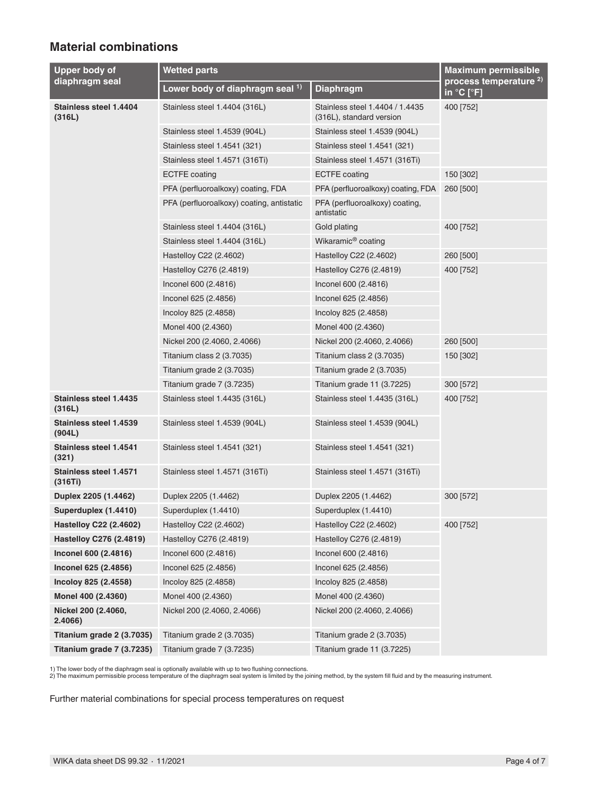## **Material combinations**

| Upper body of                           | <b>Wetted parts</b>                       | <b>Maximum permissible</b>                                  |                                                 |  |
|-----------------------------------------|-------------------------------------------|-------------------------------------------------------------|-------------------------------------------------|--|
| diaphragm seal                          | Lower body of diaphragm seal 1)           | <b>Diaphragm</b>                                            | process temperature <sup>2)</sup><br>in °C [°F] |  |
| <b>Stainless steel 1.4404</b><br>(316L) | Stainless steel 1.4404 (316L)             | Stainless steel 1.4404 / 1.4435<br>(316L), standard version | 400 [752]                                       |  |
|                                         | Stainless steel 1.4539 (904L)             | Stainless steel 1.4539 (904L)                               |                                                 |  |
|                                         | Stainless steel 1.4541 (321)              | Stainless steel 1.4541 (321)                                |                                                 |  |
|                                         | Stainless steel 1.4571 (316Ti)            | Stainless steel 1.4571 (316Ti)                              |                                                 |  |
|                                         | <b>ECTFE</b> coating                      | <b>ECTFE</b> coating                                        | 150 [302]                                       |  |
|                                         | PFA (perfluoroalkoxy) coating, FDA        | PFA (perfluoroalkoxy) coating, FDA                          | 260 [500]                                       |  |
|                                         | PFA (perfluoroalkoxy) coating, antistatic | PFA (perfluoroalkoxy) coating,<br>antistatic                |                                                 |  |
|                                         | Stainless steel 1.4404 (316L)             | Gold plating                                                | 400 [752]                                       |  |
|                                         | Stainless steel 1.4404 (316L)             | Wikaramic <sup>®</sup> coating                              |                                                 |  |
|                                         | Hastelloy C22 (2.4602)                    | Hastelloy C22 (2.4602)                                      | 260 [500]                                       |  |
|                                         | Hastelloy C276 (2.4819)                   | Hastelloy C276 (2.4819)                                     | 400 [752]                                       |  |
|                                         | Inconel 600 (2.4816)                      | Inconel 600 (2.4816)                                        |                                                 |  |
|                                         | Inconel 625 (2.4856)                      | Inconel 625 (2.4856)                                        |                                                 |  |
|                                         | Incoloy 825 (2.4858)                      | Incoloy 825 (2.4858)                                        |                                                 |  |
|                                         | Monel 400 (2.4360)                        | Monel 400 (2.4360)                                          |                                                 |  |
|                                         | Nickel 200 (2.4060, 2.4066)               | Nickel 200 (2.4060, 2.4066)                                 | 260 [500]                                       |  |
|                                         | Titanium class 2 (3.7035)                 | Titanium class 2 (3.7035)                                   | 150 [302]                                       |  |
|                                         | Titanium grade 2 (3.7035)                 | Titanium grade 2 (3.7035)                                   |                                                 |  |
|                                         | Titanium grade 7 (3.7235)                 | Titanium grade 11 (3.7225)                                  | 300 [572]                                       |  |
| Stainless steel 1.4435<br>(316L)        | Stainless steel 1.4435 (316L)             | Stainless steel 1.4435 (316L)                               | 400 [752]                                       |  |
| Stainless steel 1.4539<br>(904L)        | Stainless steel 1.4539 (904L)             | Stainless steel 1.4539 (904L)                               |                                                 |  |
| <b>Stainless steel 1.4541</b><br>(321)  | Stainless steel 1.4541 (321)              | Stainless steel 1.4541 (321)                                |                                                 |  |
| Stainless steel 1.4571<br>(316Ti)       | Stainless steel 1.4571 (316Ti)            | Stainless steel 1.4571 (316Ti)                              |                                                 |  |
| Duplex 2205 (1.4462)                    | Duplex 2205 (1.4462)                      | Duplex 2205 (1.4462)                                        | 300 [572]                                       |  |
| Superduplex (1.4410)                    | Superduplex (1.4410)                      | Superduplex (1.4410)                                        |                                                 |  |
| <b>Hastelloy C22 (2.4602)</b>           | Hastelloy C22 (2.4602)                    | Hastelloy C22 (2.4602)                                      | 400 [752]                                       |  |
| Hastelloy C276 (2.4819)                 | Hastelloy C276 (2.4819)                   | Hastelloy C276 (2.4819)                                     |                                                 |  |
| Inconel 600 (2.4816)                    | Inconel 600 (2.4816)                      | Inconel 600 (2.4816)                                        |                                                 |  |
| Inconel 625 (2.4856)                    | Inconel 625 (2.4856)                      | Inconel 625 (2.4856)                                        |                                                 |  |
| Incoloy 825 (2.4558)                    | Incoloy 825 (2.4858)                      | Incoloy 825 (2.4858)                                        |                                                 |  |
| Monel 400 (2.4360)                      | Monel 400 (2.4360)                        | Monel 400 (2.4360)                                          |                                                 |  |
| Nickel 200 (2.4060,<br>2.4066)          | Nickel 200 (2.4060, 2.4066)               | Nickel 200 (2.4060, 2.4066)                                 |                                                 |  |
| Titanium grade 2 (3.7035)               | Titanium grade 2 (3.7035)                 | Titanium grade 2 (3.7035)                                   |                                                 |  |
| Titanium grade 7 (3.7235)               | Titanium grade 7 (3.7235)                 | Titanium grade 11 (3.7225)                                  |                                                 |  |

1) The lower body of the diaphragm seal is optionally available with up to two flushing connections.<br>2) The maximum permissible process temperature of the diaphragm seal system is limited by the joining method, by the syst

Further material combinations for special process temperatures on request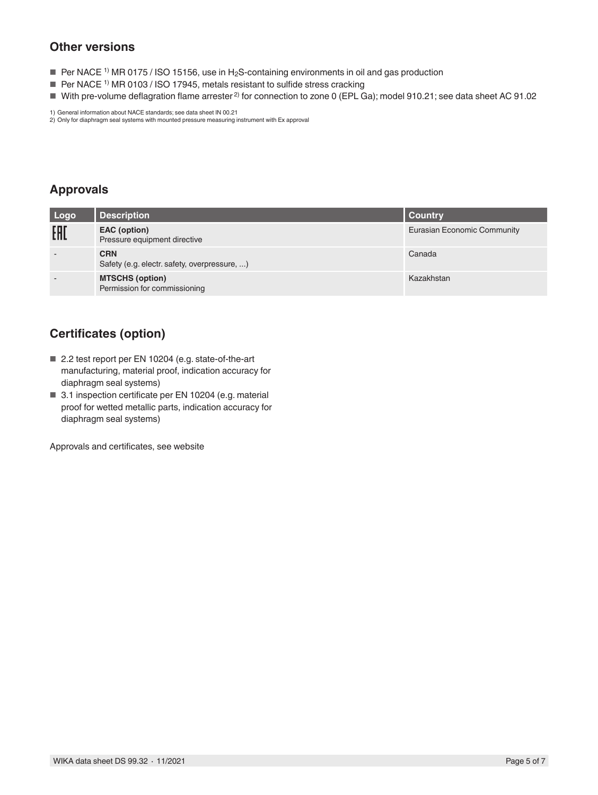# **Other versions**

- Per NACE <sup>1)</sup> MR 0175 / ISO 15156, use in H<sub>2</sub>S-containing environments in oil and gas production
- $\blacksquare$  Per NACE<sup>1)</sup> MR 0103 / ISO 17945, metals resistant to sulfide stress cracking
- With pre-volume deflagration flame arrester<sup>2)</sup> for connection to zone 0 (EPL Ga); model 910.21; see data sheet AC 91.02

1) General information about NACE standards; see data sheet IN 00.21 2) Only for diaphragm seal systems with mounted pressure measuring instrument with Ex approval

**Approvals**

| Logo | <b>Description</b>                                         | <b>Country</b>                     |
|------|------------------------------------------------------------|------------------------------------|
| EAD  | EAC (option)<br>Pressure equipment directive               | <b>Eurasian Economic Community</b> |
|      | <b>CRN</b><br>Safety (e.g. electr. safety, overpressure, ) | Canada                             |
|      | <b>MTSCHS (option)</b><br>Permission for commissioning     | Kazakhstan                         |

# **Certificates (option)**

- 2.2 test report per EN 10204 (e.g. state-of-the-art manufacturing, material proof, indication accuracy for diaphragm seal systems)
- 3.1 inspection certificate per EN 10204 (e.g. material proof for wetted metallic parts, indication accuracy for diaphragm seal systems)

Approvals and certificates, see website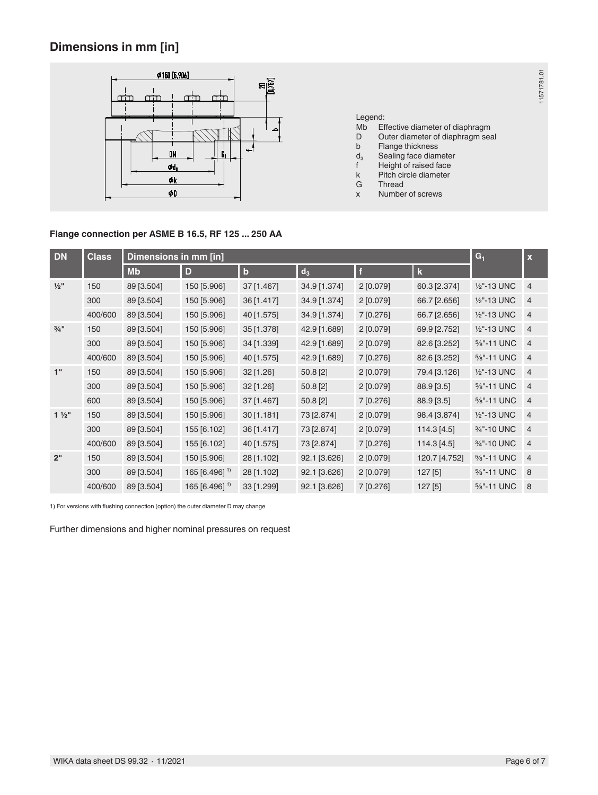# **Dimensions in mm [in]**



### Legend:

Mb Effective diameter of diaphragm

11571781.01

11571781.01

- D Outer diameter of diaphragm seal
- b Flange thickness<br>d<sub>3</sub> Sealing face diam
- $d_3$  Sealing face diameter<br>f Height of raised face
- f Height of raised face<br>k Pitch circle diameter
- k Pitch circle diameter
- G Thread<br>x Number Number of screws

### **Flange connection per ASME B 16.5, RF 125 ... 250 AA**

| <b>DN</b>           | <b>Class</b> | Dimensions in mm [in] |                      |             |              |              |               | $G_1$                    | $\overline{\mathbf{x}}$ |
|---------------------|--------------|-----------------------|----------------------|-------------|--------------|--------------|---------------|--------------------------|-------------------------|
|                     |              | <b>Mb</b>             | D                    | $\mathbf b$ | $d_3$        | $\mathbf{f}$ | $\mathbf k$   |                          |                         |
| $\frac{1}{2}$ "     | 150          | 89 [3.504]            | 150 [5.906]          | 37 [1.467]  | 34.9 [1.374] | 2[0.079]     | 60.3 [2.374]  | 1/2"-13 UNC              | $\overline{4}$          |
|                     | 300          | 89 [3.504]            | 150 [5.906]          | 36 [1.417]  | 34.9 [1.374] | 2[0.079]     | 66.7 [2.656]  | 1/2"-13 UNC              | $\overline{4}$          |
|                     | 400/600      | 89 [3.504]            | 150 [5.906]          | 40 [1.575]  | 34.9 [1.374] | 7 [0.276]    | 66.7 [2.656]  | 1/2"-13 UNC              | $\overline{4}$          |
| $3/4$ <sup>11</sup> | 150          | 89 [3.504]            | 150 [5.906]          | 35 [1.378]  | 42.9 [1.689] | 2[0.079]     | 69.9 [2.752]  | 1/2"-13 UNC              | $\overline{4}$          |
|                     | 300          | 89 [3.504]            | 150 [5.906]          | 34 [1.339]  | 42.9 [1.689] | 2 [0.079]    | 82.6 [3.252]  | %"-11 UNC                | $\overline{4}$          |
|                     | 400/600      | 89 [3.504]            | 150 [5.906]          | 40 [1.575]  | 42.9 [1.689] | 7 [0.276]    | 82.6 [3.252]  | %"-11 UNC                | $\overline{4}$          |
| 1"                  | 150          | 89 [3.504]            | 150 [5.906]          | 32 [1.26]   | 50.8 [2]     | 2[0.079]     | 79.4 [3.126]  | 1/ <sub>2</sub> "-13 UNC | $\overline{4}$          |
|                     | 300          | 89 [3.504]            | 150 [5.906]          | 32 [1.26]   | 50.8 [2]     | 2[0.079]     | 88.9 [3.5]    | 5/8"-11 UNC              | $\overline{4}$          |
|                     | 600          | 89 [3.504]            | 150 [5.906]          | 37 [1.467]  | 50.8 [2]     | 7 [0.276]    | 88.9 [3.5]    | 5/8"-11 UNC              | $\overline{4}$          |
| $1\frac{1}{2}$      | 150          | 89 [3.504]            | 150 [5.906]          | 30[1.181]   | 73 [2.874]   | 2[0.079]     | 98.4 [3.874]  | 1/2"-13 UNC              | $\overline{4}$          |
|                     | 300          | 89 [3.504]            | 155 [6.102]          | 36 [1.417]  | 73 [2.874]   | 2[0.079]     | 114.3 [4.5]   | 3/ <sub>4</sub> "-10 UNC | $\overline{4}$          |
|                     | 400/600      | 89 [3.504]            | 155 [6.102]          | 40 [1.575]  | 73 [2.874]   | 7 [0.276]    | 114.3 [4.5]   | 3/ <sub>4</sub> "-10 UNC | $\overline{4}$          |
| 2"                  | 150          | 89 [3.504]            | 150 [5.906]          | 28 [1.102]  | 92.1 [3.626] | 2[0.079]     | 120.7 [4.752] | %"-11 UNC                | $\overline{4}$          |
|                     | 300          | 89 [3.504]            | $165$ [6.496] $^{1}$ | 28 [1.102]  | 92.1 [3.626] | 2[0.079]     | 127[5]        | 5/8"-11 UNC              | 8                       |
|                     | 400/600      | 89 [3.504]            | $165$ [6.496] $^{1}$ | 33 [1.299]  | 92.1 [3.626] | 7 [0.276]    | 127[5]        | 5/8"-11 UNC              | 8                       |

1) For versions with flushing connection (option) the outer diameter D may change

Further dimensions and higher nominal pressures on request